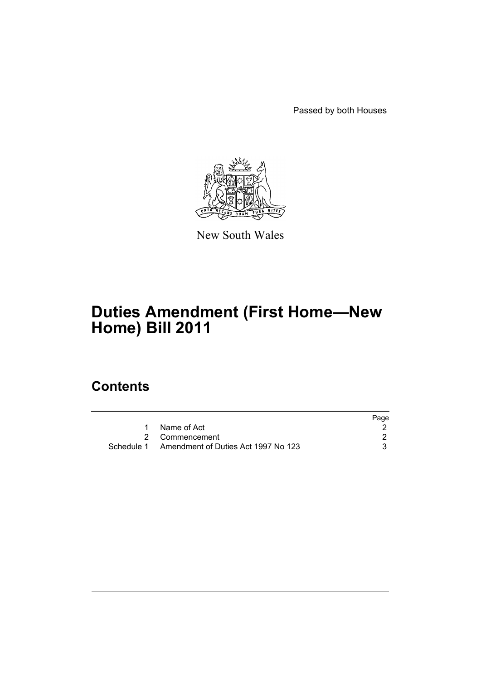Passed by both Houses



New South Wales

# **Duties Amendment (First Home—New Home) Bill 2011**

## **Contents**

|                                                | Page |
|------------------------------------------------|------|
| Name of Act                                    |      |
| 2 Commencement                                 |      |
| Schedule 1 Amendment of Duties Act 1997 No 123 |      |
|                                                |      |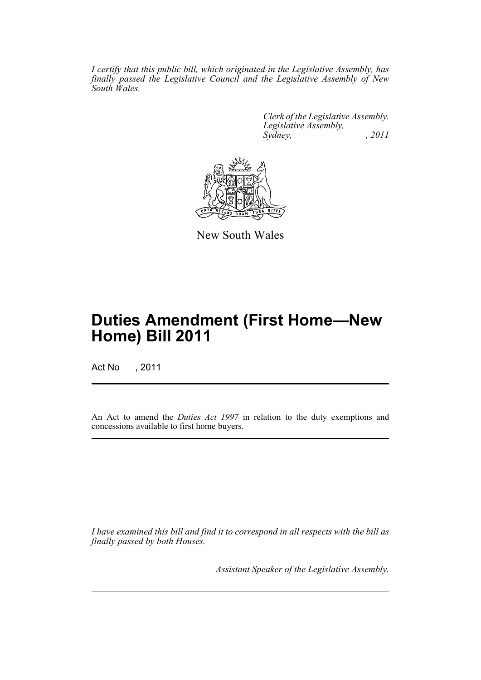*I certify that this public bill, which originated in the Legislative Assembly, has finally passed the Legislative Council and the Legislative Assembly of New South Wales.*

> *Clerk of the Legislative Assembly. Legislative Assembly, Sydney, , 2011*



New South Wales

## **Duties Amendment (First Home—New Home) Bill 2011**

Act No , 2011

An Act to amend the *Duties Act 1997* in relation to the duty exemptions and concessions available to first home buyers.

*I have examined this bill and find it to correspond in all respects with the bill as finally passed by both Houses.*

*Assistant Speaker of the Legislative Assembly.*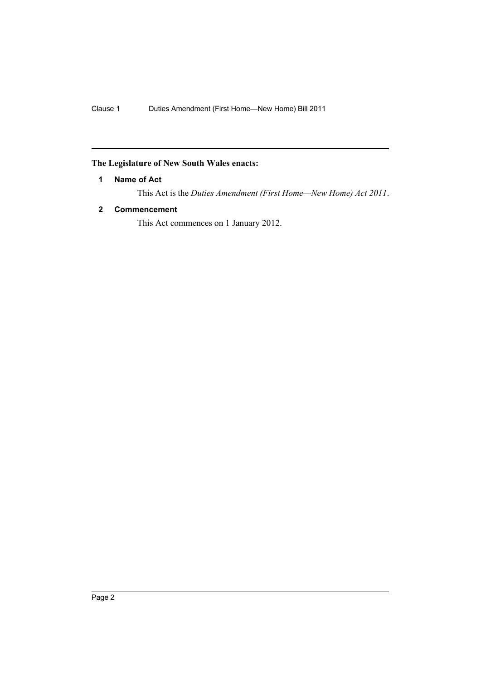### <span id="page-3-0"></span>**The Legislature of New South Wales enacts:**

#### **1 Name of Act**

This Act is the *Duties Amendment (First Home—New Home) Act 2011*.

#### <span id="page-3-1"></span>**2 Commencement**

This Act commences on 1 January 2012.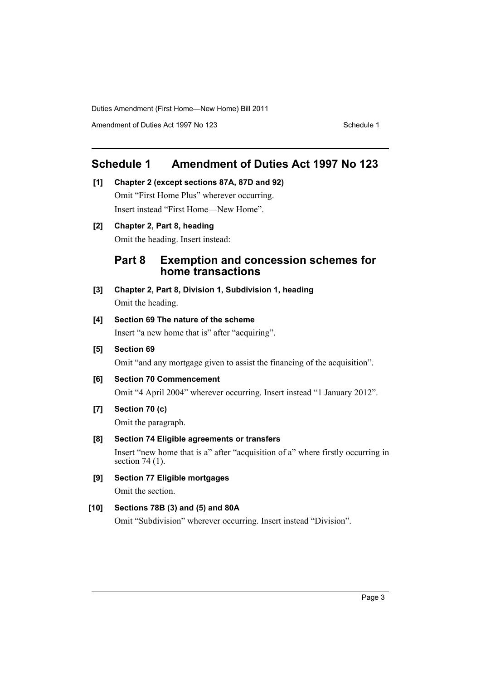Duties Amendment (First Home—New Home) Bill 2011

Amendment of Duties Act 1997 No 123 Schedule 1

## <span id="page-4-0"></span>**Schedule 1 Amendment of Duties Act 1997 No 123**

**[1] Chapter 2 (except sections 87A, 87D and 92)** Omit "First Home Plus" wherever occurring. Insert instead "First Home—New Home".

**[2] Chapter 2, Part 8, heading**

Omit the heading. Insert instead:

## **Part 8 Exemption and concession schemes for home transactions**

**[3] Chapter 2, Part 8, Division 1, Subdivision 1, heading** Omit the heading.

#### **[4] Section 69 The nature of the scheme**

Insert "a new home that is" after "acquiring".

**[5] Section 69**

Omit "and any mortgage given to assist the financing of the acquisition".

**[6] Section 70 Commencement**

Omit "4 April 2004" wherever occurring. Insert instead "1 January 2012".

**[7] Section 70 (c)**

Omit the paragraph.

#### **[8] Section 74 Eligible agreements or transfers**

Insert "new home that is a" after "acquisition of a" where firstly occurring in section 74 (1).

**[9] Section 77 Eligible mortgages** Omit the section.

#### **[10] Sections 78B (3) and (5) and 80A**

Omit "Subdivision" wherever occurring. Insert instead "Division".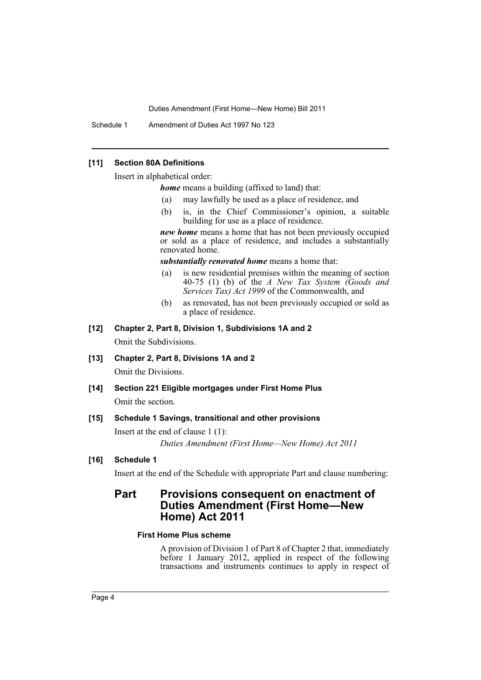Duties Amendment (First Home—New Home) Bill 2011

Schedule 1 Amendment of Duties Act 1997 No 123

#### **[11] Section 80A Definitions**

Insert in alphabetical order:

*home* means a building (affixed to land) that:

- (a) may lawfully be used as a place of residence, and
- (b) is, in the Chief Commissioner's opinion, a suitable building for use as a place of residence.

*new home* means a home that has not been previously occupied or sold as a place of residence, and includes a substantially renovated home.

*substantially renovated home* means a home that:

- (a) is new residential premises within the meaning of section 40-75 (1) (b) of the *A New Tax System (Goods and Services Tax) Act 1999* of the Commonwealth, and
- (b) as renovated, has not been previously occupied or sold as a place of residence.
- **[12] Chapter 2, Part 8, Division 1, Subdivisions 1A and 2** Omit the Subdivisions.
- **[13] Chapter 2, Part 8, Divisions 1A and 2**

Omit the Divisions.

**[14] Section 221 Eligible mortgages under First Home Plus** Omit the section.

#### **[15] Schedule 1 Savings, transitional and other provisions**

Insert at the end of clause 1 (1):

*Duties Amendment (First Home—New Home) Act 2011*

#### **[16] Schedule 1**

Insert at the end of the Schedule with appropriate Part and clause numbering:

## **Part Provisions consequent on enactment of Duties Amendment (First Home—New Home) Act 2011**

#### **First Home Plus scheme**

A provision of Division 1 of Part 8 of Chapter 2 that, immediately before 1 January 2012, applied in respect of the following transactions and instruments continues to apply in respect of